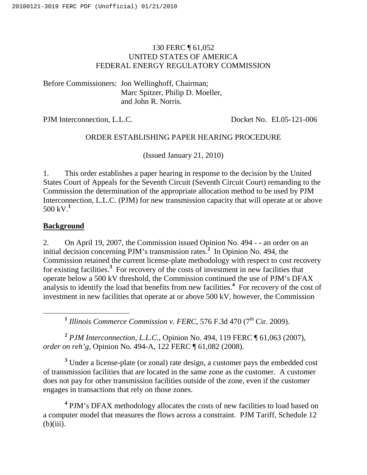## 130 FERC ¶ 61,052 UNITED STATES OF AMERICA FEDERAL ENERGY REGULATORY COMMISSION

Before Commissioners: Jon Wellinghoff, Chairman; Marc Spitzer, Philip D. Moeller, and John R. Norris.

PJM Interconnection, L.L.C. Docket No. EL05-121-006

# ORDER ESTABLISHING PAPER HEARING PROCEDURE

(Issued January 21, 2010)

1. This order establishes a paper hearing in response to the decision by the United States Court of Appeals for the Seventh Circuit (Seventh Circuit Court) remanding to the Commission the determination of the appropriate allocation method to be used by PJM Interconnection, L.L.C. (PJM) for new transmission capacity that will operate at or above 500 kV. **1**

## **Background**

2. On April 19, 2007, the Commission issued Opinion No. 494 - - an order on an initial decision concerning PJM's transmission rates. **<sup>2</sup>** In Opinion No. 494, the Commission retained the current license-plate methodology with respect to cost recovery for existing facilities.<sup>3</sup> For recovery of the costs of investment in new facilities that operate below a 500 kV threshold, the Commission continued the use of PJM's DFAX analysis to identify the load that benefits from new facilities. **<sup>4</sup>** For recovery of the cost of investment in new facilities that operate at or above 500 kV, however, the Commission

<sup>1</sup> Illinois Commerce Commission v. FERC, 576 F.3d 470 (7<sup>th</sup> Cir. 2009).

**<sup>2</sup>** *PJM Interconnection, L.L.C.*, Opinion No. 494, 119 FERC ¶ 61,063 (2007), *order on reh'g*, Opinion No. 494-A, 122 FERC ¶ 61,082 (2008).

<sup>3</sup> Under a license-plate (or zonal) rate design, a customer pays the embedded cost of transmission facilities that are located in the same zone as the customer. A customer does not pay for other transmission facilities outside of the zone, even if the customer engages in transactions that rely on those zones.

**<sup>4</sup>** PJM's DFAX methodology allocates the costs of new facilities to load based on a computer model that measures the flows across a constraint. PJM Tariff, Schedule 12  $(b)(iii)$ .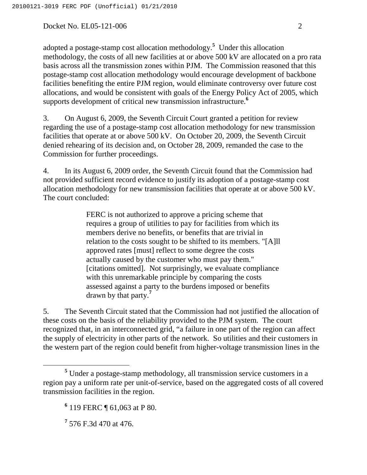adopted a postage-stamp cost allocation methodology. **<sup>5</sup>** Under this allocation methodology, the costs of all new facilities at or above 500 kV are allocated on a pro rata basis across all the transmission zones within PJM. The Commission reasoned that this postage-stamp cost allocation methodology would encourage development of backbone facilities benefiting the entire PJM region, would eliminate controversy over future cost allocations, and would be consistent with goals of the Energy Policy Act of 2005, which supports development of critical new transmission infrastructure. **6**

3. On August 6, 2009, the Seventh Circuit Court granted a petition for review regarding the use of a postage-stamp cost allocation methodology for new transmission facilities that operate at or above 500 kV. On October 20, 2009, the Seventh Circuit denied rehearing of its decision and, on October 28, 2009, remanded the case to the Commission for further proceedings.

4. In its August 6, 2009 order, the Seventh Circuit found that the Commission had not provided sufficient record evidence to justify its adoption of a postage-stamp cost allocation methodology for new transmission facilities that operate at or above 500 kV. The court concluded:

> FERC is not authorized to approve a pricing scheme that requires a group of utilities to pay for facilities from which its members derive no benefits, or benefits that are trivial in relation to the costs sought to be shifted to its members. "[A]ll approved rates [must] reflect to some degree the costs actually caused by the customer who must pay them." [citations omitted]. Not surprisingly, we evaluate compliance with this unremarkable principle by comparing the costs assessed against a party to the burdens imposed or benefits drawn by that party. **7**

5. The Seventh Circuit stated that the Commission had not justified the allocation of these costs on the basis of the reliability provided to the PJM system. The court recognized that, in an interconnected grid, "a failure in one part of the region can affect the supply of electricity in other parts of the network. So utilities and their customers in the western part of the region could benefit from higher-voltage transmission lines in the

**<sup>5</sup>** Under a postage-stamp methodology, all transmission service customers in a region pay a uniform rate per unit-of-service, based on the aggregated costs of all covered transmission facilities in the region.

**<sup>6</sup>** 119 FERC ¶ 61,063 at P 80.

**<sup>7</sup>** 576 F.3d 470 at 476.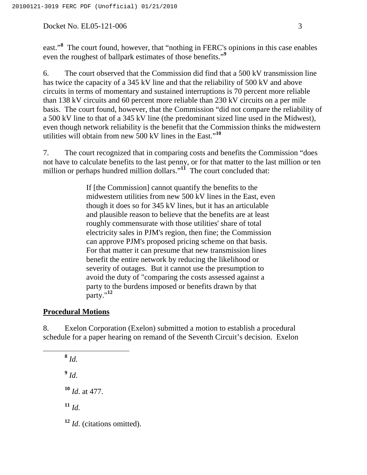east."<sup>8</sup> The court found, however, that "nothing in FERC's opinions in this case enables even the roughest of ballpark estimates of those benefits."<sup>9</sup>

6. The court observed that the Commission did find that a 500 kV transmission line has twice the capacity of a 345 kV line and that the reliability of 500 kV and above circuits in terms of momentary and sustained interruptions is 70 percent more reliable than 138 kV circuits and 60 percent more reliable than 230 kV circuits on a per mile basis. The court found, however, that the Commission "did not compare the reliability of a 500 kV line to that of a 345 kV line (the predominant sized line used in the Midwest), even though network reliability is the benefit that the Commission thinks the midwestern utilities will obtain from new 500 kV lines in the East." **10**

7. The court recognized that in comparing costs and benefits the Commission "does not have to calculate benefits to the last penny, or for that matter to the last million or ten million or perhaps hundred million dollars."<sup>11</sup> The court concluded that:

> If [the Commission] cannot quantify the benefits to the midwestern utilities from new 500 kV lines in the East, even though it does so for 345 kV lines, but it has an articulable and plausible reason to believe that the benefits are at least roughly commensurate with those utilities' share of total electricity sales in PJM's region, then fine; the Commission can approve PJM's proposed pricing scheme on that basis. For that matter it can presume that new transmission lines benefit the entire network by reducing the likelihood or severity of outages. But it cannot use the presumption to avoid the duty of "comparing the costs assessed against a party to the burdens imposed or benefits drawn by that party." **12**

### **Procedural Motions**

8. Exelon Corporation (Exelon) submitted a motion to establish a procedural schedule for a paper hearing on remand of the Seventh Circuit's decision. Exelon

**<sup>8</sup>** *Id.*  $9$   $Id.$ **<sup>10</sup>** *Id*. at 477. **<sup>11</sup>** *Id.* **<sup>12</sup>** *Id*. (citations omitted).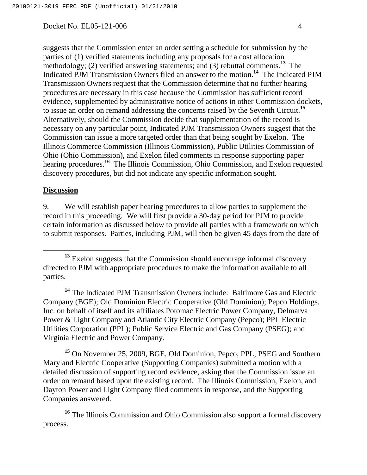suggests that the Commission enter an order setting a schedule for submission by the parties of (1) verified statements including any proposals for a cost allocation methodology; (2) verified answering statements; and (3) rebuttal comments.<sup>13</sup> The Indicated PJM Transmission Owners filed an answer to the motion. **<sup>14</sup>** The Indicated PJM Transmission Owners request that the Commission determine that no further hearing procedures are necessary in this case because the Commission has sufficient record evidence, supplemented by administrative notice of actions in other Commission dockets, to issue an order on remand addressing the concerns raised by the Seventh Circuit. **15** Alternatively, should the Commission decide that supplementation of the record is necessary on any particular point, Indicated PJM Transmission Owners suggest that the Commission can issue a more targeted order than that being sought by Exelon. The Illinois Commerce Commission (Illinois Commission), Public Utilities Commission of Ohio (Ohio Commission), and Exelon filed comments in response supporting paper hearing procedures. **<sup>16</sup>** The Illinois Commission, Ohio Commission, and Exelon requested discovery procedures, but did not indicate any specific information sought.

#### **Discussion**

9. We will establish paper hearing procedures to allow parties to supplement the record in this proceeding. We will first provide a 30-day period for PJM to provide certain information as discussed below to provide all parties with a framework on which to submit responses. Parties, including PJM, will then be given 45 days from the date of

**<sup>14</sup>** The Indicated PJM Transmission Owners include: Baltimore Gas and Electric Company (BGE); Old Dominion Electric Cooperative (Old Dominion); Pepco Holdings, Inc. on behalf of itself and its affiliates Potomac Electric Power Company, Delmarva Power & Light Company and Atlantic City Electric Company (Pepco); PPL Electric Utilities Corporation (PPL); Public Service Electric and Gas Company (PSEG); and Virginia Electric and Power Company.

**<sup>15</sup>** On November 25, 2009, BGE, Old Dominion, Pepco, PPL, PSEG and Southern Maryland Electric Cooperative (Supporting Companies) submitted a motion with a detailed discussion of supporting record evidence, asking that the Commission issue an order on remand based upon the existing record. The Illinois Commission, Exelon, and Dayton Power and Light Company filed comments in response, and the Supporting Companies answered.

**<sup>16</sup>** The Illinois Commission and Ohio Commission also support a formal discovery process.

<sup>&</sup>lt;sup>13</sup> Exelon suggests that the Commission should encourage informal discovery directed to PJM with appropriate procedures to make the information available to all parties.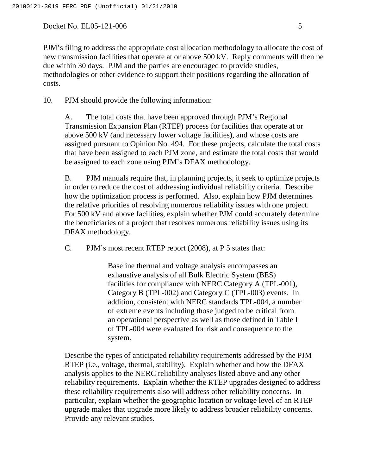PJM's filing to address the appropriate cost allocation methodology to allocate the cost of new transmission facilities that operate at or above 500 kV. Reply comments will then be due within 30 days. PJM and the parties are encouraged to provide studies, methodologies or other evidence to support their positions regarding the allocation of costs.

10. PJM should provide the following information:

A. The total costs that have been approved through PJM's Regional Transmission Expansion Plan (RTEP) process for facilities that operate at or above 500 kV (and necessary lower voltage facilities), and whose costs are assigned pursuant to Opinion No. 494. For these projects, calculate the total costs that have been assigned to each PJM zone, and estimate the total costs that would be assigned to each zone using PJM's DFAX methodology.

B. PJM manuals require that, in planning projects, it seek to optimize projects in order to reduce the cost of addressing individual reliability criteria. Describe how the optimization process is performed. Also, explain how PJM determines the relative priorities of resolving numerous reliability issues with one project. For 500 kV and above facilities, explain whether PJM could accurately determine the beneficiaries of a project that resolves numerous reliability issues using its DFAX methodology.

C. PJM's most recent RTEP report (2008), at P 5 states that:

Baseline thermal and voltage analysis encompasses an exhaustive analysis of all Bulk Electric System (BES) facilities for compliance with NERC Category A (TPL-001), Category B (TPL-002) and Category C (TPL-003) events. In addition, consistent with NERC standards TPL-004, a number of extreme events including those judged to be critical from an operational perspective as well as those defined in Table I of TPL-004 were evaluated for risk and consequence to the system.

Describe the types of anticipated reliability requirements addressed by the PJM RTEP (i.e., voltage, thermal, stability). Explain whether and how the DFAX analysis applies to the NERC reliability analyses listed above and any other reliability requirements. Explain whether the RTEP upgrades designed to address these reliability requirements also will address other reliability concerns. In particular, explain whether the geographic location or voltage level of an RTEP upgrade makes that upgrade more likely to address broader reliability concerns. Provide any relevant studies.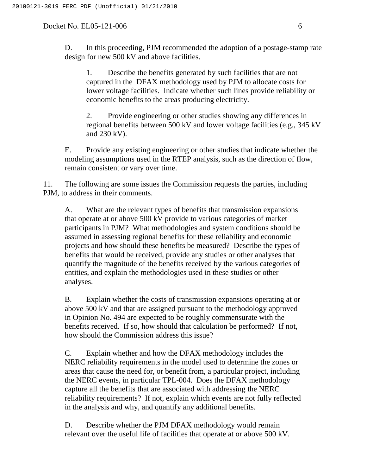D. In this proceeding, PJM recommended the adoption of a postage-stamp rate design for new 500 kV and above facilities.

1. Describe the benefits generated by such facilities that are not captured in the DFAX methodology used by PJM to allocate costs for lower voltage facilities. Indicate whether such lines provide reliability or economic benefits to the areas producing electricity.

2. Provide engineering or other studies showing any differences in regional benefits between 500 kV and lower voltage facilities (e.g., 345 kV and 230 kV).

E. Provide any existing engineering or other studies that indicate whether the modeling assumptions used in the RTEP analysis, such as the direction of flow, remain consistent or vary over time.

11. The following are some issues the Commission requests the parties, including PJM, to address in their comments.

A. What are the relevant types of benefits that transmission expansions that operate at or above 500 kV provide to various categories of market participants in PJM? What methodologies and system conditions should be assumed in assessing regional benefits for these reliability and economic projects and how should these benefits be measured? Describe the types of benefits that would be received, provide any studies or other analyses that quantify the magnitude of the benefits received by the various categories of entities, and explain the methodologies used in these studies or other analyses.

B. Explain whether the costs of transmission expansions operating at or above 500 kV and that are assigned pursuant to the methodology approved in Opinion No. 494 are expected to be roughly commensurate with the benefits received. If so, how should that calculation be performed? If not, how should the Commission address this issue?

C. Explain whether and how the DFAX methodology includes the NERC reliability requirements in the model used to determine the zones or areas that cause the need for, or benefit from, a particular project, including the NERC events, in particular TPL-004. Does the DFAX methodology capture all the benefits that are associated with addressing the NERC reliability requirements? If not, explain which events are not fully reflected in the analysis and why, and quantify any additional benefits.

D. Describe whether the PJM DFAX methodology would remain relevant over the useful life of facilities that operate at or above 500 kV.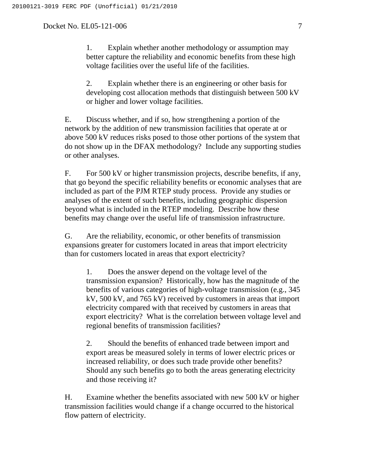1. Explain whether another methodology or assumption may better capture the reliability and economic benefits from these high voltage facilities over the useful life of the facilities.

2. Explain whether there is an engineering or other basis for developing cost allocation methods that distinguish between 500 kV or higher and lower voltage facilities.

E. Discuss whether, and if so, how strengthening a portion of the network by the addition of new transmission facilities that operate at or above 500 kV reduces risks posed to those other portions of the system that do not show up in the DFAX methodology? Include any supporting studies or other analyses.

F. For 500 kV or higher transmission projects, describe benefits, if any, that go beyond the specific reliability benefits or economic analyses that are included as part of the PJM RTEP study process. Provide any studies or analyses of the extent of such benefits, including geographic dispersion beyond what is included in the RTEP modeling. Describe how these benefits may change over the useful life of transmission infrastructure.

G. Are the reliability, economic, or other benefits of transmission expansions greater for customers located in areas that import electricity than for customers located in areas that export electricity?

1. Does the answer depend on the voltage level of the transmission expansion? Historically, how has the magnitude of the benefits of various categories of high-voltage transmission (e.g., 345 kV, 500 kV, and 765 kV) received by customers in areas that import electricity compared with that received by customers in areas that export electricity? What is the correlation between voltage level and regional benefits of transmission facilities?

2. Should the benefits of enhanced trade between import and export areas be measured solely in terms of lower electric prices or increased reliability, or does such trade provide other benefits? Should any such benefits go to both the areas generating electricity and those receiving it?

H. Examine whether the benefits associated with new 500 kV or higher transmission facilities would change if a change occurred to the historical flow pattern of electricity.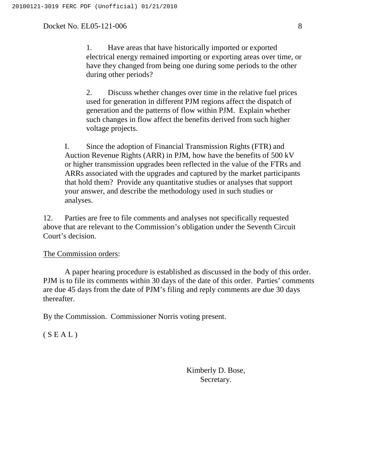1. Have areas that have historically imported or exported electrical energy remained importing or exporting areas over time, or have they changed from being one during some periods to the other during other periods?

2. Discuss whether changes over time in the relative fuel prices used for generation in different PJM regions affect the dispatch of generation and the patterns of flow within PJM. Explain whether such changes in flow affect the benefits derived from such higher voltage projects.

I. Since the adoption of Financial Transmission Rights (FTR) and Auction Revenue Rights (ARR) in PJM, how have the benefits of 500 kV or higher transmission upgrades been reflected in the value of the FTRs and ARRs associated with the upgrades and captured by the market participants that hold them? Provide any quantitative studies or analyses that support your answer, and describe the methodology used in such studies or analyses.

12. Parties are free to file comments and analyses not specifically requested above that are relevant to the Commission's obligation under the Seventh Circuit Court's decision.

### The Commission orders:

A paper hearing procedure is established as discussed in the body of this order. PJM is to file its comments within 30 days of the date of this order. Parties' comments are due 45 days from the date of PJM's filing and reply comments are due 30 days thereafter.

By the Commission. Commissioner Norris voting present.

 $(S E A L)$ 

Kimberly D. Bose, Secretary.